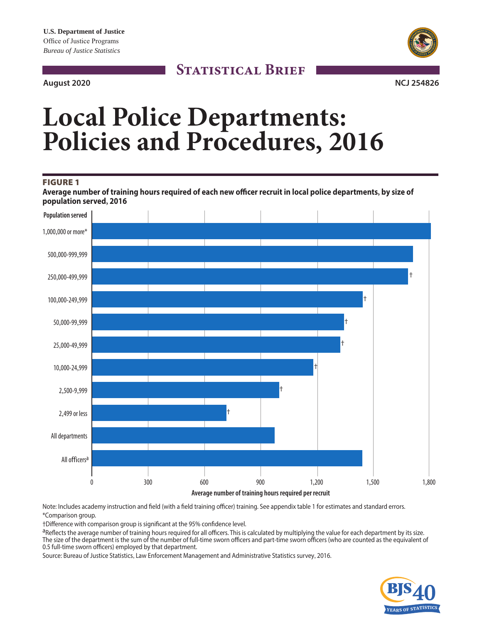# **August 2020 NCJ 254826**

# **STATISTICAL BRIEF**



# **Local Police Departments: Policies and Procedures, 2016**

#### FIGURE 1

**Average number of training hours required of each new officer recruit in local police departments, by size of population served, 2016**



Note: Includes academy instruction and field (with a field training officer) training. See appendix table 1 for estimates and standard errors. \*Comparison group.

†Difference with comparison group is significant at the 95% confidence level.

aReflects the average number of training hours required for all officers. This is calculated by multiplying the value for each department by its size. The size of the department is the sum of the number of full-time sworn officers and part-time sworn officers (who are counted as the equivalent of 0.5 full-time sworn officers) employed by that department.

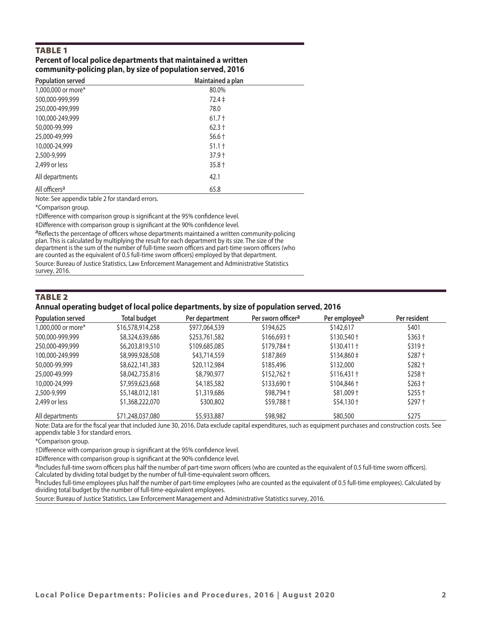# TABLE 1

#### **Percent of local police departments that maintained a written community-policing plan, by size of population served, 2016**

| Population served         | Maintained a plan |  |
|---------------------------|-------------------|--|
| 1,000,000 or more*        | 80.0%             |  |
| 500,000-999,999           | $72.4 \pm$        |  |
| 250,000-499,999           | 78.0              |  |
| 100,000-249,999           | $61.7 +$          |  |
| 50,000-99,999             | $62.3 +$          |  |
| 25,000-49,999             | $56.6 +$          |  |
| 10,000-24,999             | $51.1 +$          |  |
| 2,500-9,999               | $37.9+$           |  |
| 2,499 or less             | $35.8 +$          |  |
| All departments           | 42.1              |  |
| All officers <sup>a</sup> | 65.8              |  |

Note: See appendix table 2 for standard errors.

\*Comparison group.

†Difference with comparison group is significant at the 95% confidence level.

‡Difference with comparison group is significant at the 90% confidence level.

aReflects the percentage of officers whose departments maintained a written community-policing plan. This is calculated by multiplying the result for each department by its size. The size of the department is the sum of the number of full-time sworn officers and part-time sworn officers (who are counted as the equivalent of 0.5 full-time sworn officers) employed by that department. Source: Bureau of Justice Statistics, Law Enforcement Management and Administrative Statistics survey, 2016.

#### TABLE 2

#### **Annual operating budget of local police departments, by size of population served, 2016**

| Population served  | Total budget     | Per department | Per sworn officer <sup>a</sup> | Per employee <sup>b</sup>     | Per resident |
|--------------------|------------------|----------------|--------------------------------|-------------------------------|--------------|
| 1,000,000 or more* | \$16,578,914,258 | \$977,064,539  | \$194,625                      | \$142,617                     | \$401        |
| 500,000-999,999    | \$8,324,639,686  | \$253,761,582  | $$166,693 +$                   | $$130,540 +$                  | $$363+$      |
| 250,000-499,999    | \$6,203,819,510  | \$109,685,085  | $$179.784$ +                   | $$130,411$ +                  | $$319+$      |
| 100,000-249,999    | \$8,999,928,508  | \$43,714,559   | \$187,869                      | $$134,860 \div$               | $$287+$      |
| 50,000-99,999      | \$8,622,141,383  | \$20,112,984   | \$185,496                      | \$132,000                     | $$282 +$     |
| 25,000-49,999      | \$8,042,735,816  | \$8,790,977    | $$152,762 \text{ +}$           | $$116,431$ †                  | $$258+$      |
| 10,000-24,999      | \$7,959,623,668  | \$4,185,582    | $$133.690 +$                   | $$104,846 \text{ }^{\dagger}$ | $$263+$      |
| 2,500-9,999        | \$5,148,012,181  | \$1,319,686    | $$98,794 \text{ +}$            | $$81,009$ +                   | $$255 +$     |
| 2,499 or less      | \$1,368,222,070  | \$300,802      | \$59,788 +                     | $$54,130+$                    | $$297+$      |
| All departments    | \$71,248,037,080 | \$5,933,887    | \$98,982                       | \$80,500                      | \$275        |

Note: Data are for the fiscal year that included June 30, 2016. Data exclude capital expenditures, such as equipment purchases and construction costs. See appendix table 3 for standard errors.

\*Comparison group.

†Difference with comparison group is significant at the 95% confidence level.

‡Difference with comparison group is significant at the 90% confidence level.

aIncludes full-time sworn officers plus half the number of part-time sworn officers (who are counted as the equivalent of 0.5 full-time sworn officers). Calculated by dividing total budget by the number of full-time-equivalent sworn officers.

bIncludes full-time employees plus half the number of part-time employees (who are counted as the equivalent of 0.5 full-time employees). Calculated by dividing total budget by the number of full-time-equivalent employees.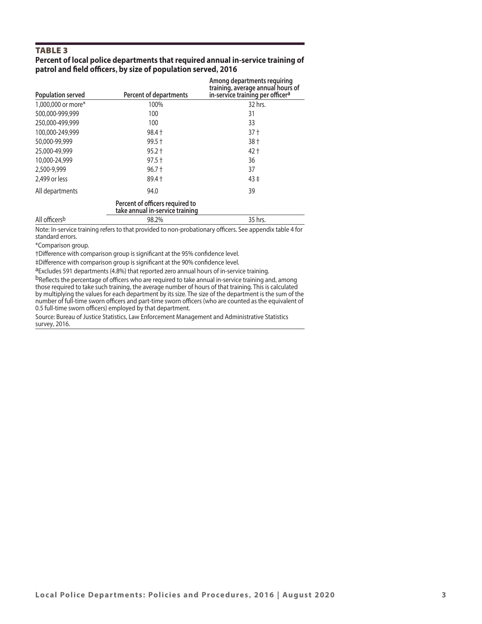# TABLE 3

#### **Percent of local police departments that required annual in-service training of patrol and field officers, by size of population served, 2016**

| <b>Population served</b> | Percent of departments                                             | Among departments requiring<br>training, average annual hours of<br>in-service training per officer <sup>a</sup> |
|--------------------------|--------------------------------------------------------------------|------------------------------------------------------------------------------------------------------------------|
| 1,000,000 or more*       | 100%                                                               | 32 hrs.                                                                                                          |
| 500,000-999,999          | 100                                                                | 31                                                                                                               |
| 250,000-499,999          | 100                                                                | 33                                                                                                               |
| 100,000-249,999          | $98.4 +$                                                           | 37 <sup>†</sup>                                                                                                  |
| 50,000-99,999            | $99.5 +$                                                           | 38 t                                                                                                             |
| 25,000-49,999            | $95.2 +$                                                           | 42 †                                                                                                             |
| 10,000-24,999            | $97.5 +$                                                           | 36                                                                                                               |
| 2,500-9,999              | $96.7 +$                                                           | 37                                                                                                               |
| 2.499 or less            | $89.4 +$                                                           | $43 \pm$                                                                                                         |
| All departments          | 94.0                                                               | 39                                                                                                               |
|                          | Percent of officers required to<br>take annual in-service training |                                                                                                                  |
| All officersb            | 98.2%                                                              | 35 hrs.                                                                                                          |

Note: In-service training refers to that provided to non-probationary officers. See appendix table 4 for standard errors.

\*Comparison group.

†Difference with comparison group is significant at the 95% confidence level.

‡Difference with comparison group is significant at the 90% confidence level.

aExcludes 591 departments (4.8%) that reported zero annual hours of in-service training.

bReflects the percentage of officers who are required to take annual in-service training and, among those required to take such training, the average number of hours of that training. This is calculated by multiplying the values for each department by its size. The size of the department is the sum of the number of full-time sworn officers and part-time sworn officers (who are counted as the equivalent of 0.5 full-time sworn officers) employed by that department.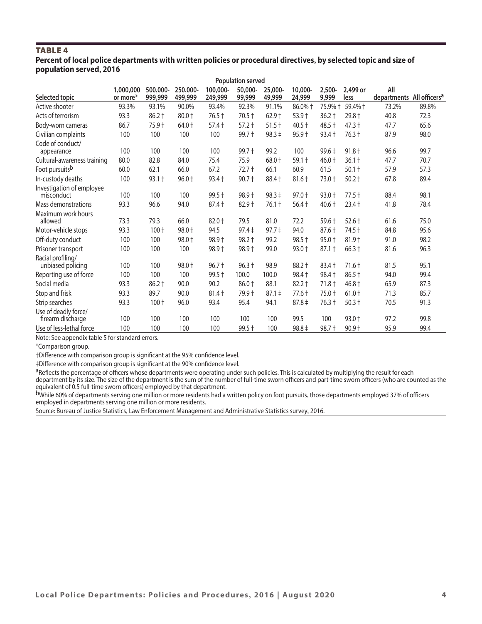#### TABLE 4 **Percent of local police departments with written policies or procedural directives, by selected topic and size of population served, 2016**

|                                           | <b>Population served</b> |                     |                     |                     |                   |                   |                   |                 |                  |                                              |       |
|-------------------------------------------|--------------------------|---------------------|---------------------|---------------------|-------------------|-------------------|-------------------|-----------------|------------------|----------------------------------------------|-------|
| Selected topic                            | 1,000,000<br>or more*    | 500,000-<br>999,999 | 250,000-<br>499,999 | 100,000-<br>249,999 | 50,000-<br>99,999 | 25,000-<br>49,999 | 10.000-<br>24,999 | 2,500-<br>9,999 | 2,499 or<br>less | All<br>departments All officers <sup>a</sup> |       |
| Active shooter                            | 93.3%                    | 93.1%               | 90.0%               | 93.4%               | 92.3%             | 91.1%             | 86.0% +           | 75.9% +         | 59.4% +          | 73.2%                                        | 89.8% |
| Acts of terrorism                         | 93.3                     | $86.2 +$            | $80.0 +$            | 76.5 +              | $70.5 +$          | $62.9 +$          | $53.9 +$          | $36.2 +$        | $29.8 +$         | 40.8                                         | 72.3  |
| Body-worn cameras                         | 86.7                     | 75.9 +              | 64.0 +              | $57.4 +$            | $57.2 +$          | $51.5 +$          | $40.5 +$          | 48.5 +          | $47.3 +$         | 47.7                                         | 65.6  |
| Civilian complaints                       | 100                      | 100                 | 100                 | 100                 | 99.7 +            | $98.3 \pm$        | $95.9 +$          | $93.4 +$        | $76.3 +$         | 87.9                                         | 98.0  |
| Code of conduct/<br>appearance            | 100                      | 100                 | 100                 | 100                 | $99.7 +$          | 99.2              | 100               | $99.6 \pm$      | $91.8 +$         | 96.6                                         | 99.7  |
| Cultural-awareness training               | 80.0                     | 82.8                | 84.0                | 75.4                | 75.9              | 68.0 +            | $59.1 +$          | 46.0 +          | $36.1+$          | 47.7                                         | 70.7  |
| Foot pursuits <sup>b</sup>                | 60.0                     | 62.1                | 66.0                | 67.2                | $72.7 +$          | 66.1              | 60.9              | 61.5            | $50.1 +$         | 57.9                                         | 57.3  |
| In-custody deaths                         | 100                      | $93.1 +$            | $96.0 +$            | $93.4 +$            | $90.7 +$          | 88.4 +            | 81.6 +            | 73.0 +          | $50.2 +$         | 67.8                                         | 89.4  |
| Investigation of employee<br>misconduct   | 100                      | 100                 | 100                 | $99.5 +$            | $98.9 +$          | $98.3 \pm$        | $97.0 +$          | $93.0 +$        | $77.5 +$         | 88.4                                         | 98.1  |
| Mass demonstrations                       | 93.3                     | 96.6                | 94.0                | 87.4 +              | 82.9 +            | $76.1 +$          | $56.4 +$          | $40.6 +$        | $23.4 +$         | 41.8                                         | 78.4  |
| Maximum work hours<br>allowed             | 73.3                     | 79.3                | 66.0                | 82.0 +              | 79.5              | 81.0              | 72.2              | 59.6 +          | $52.6 +$         | 61.6                                         | 75.0  |
| Motor-vehicle stops                       | 93.3                     | $100 +$             | $98.0 +$            | 94.5                | $97.4 \pm$        | $97.7 \pm$        | 94.0              | $87.6 +$        | $74.5 +$         | 84.8                                         | 95.6  |
| Off-duty conduct                          | 100                      | 100                 | 98.0 +              | $98.9 +$            | 98.2 +            | 99.2              | $98.5 +$          | $95.0 +$        | $81.9 +$         | 91.0                                         | 98.2  |
| Prisoner transport                        | 100                      | 100                 | 100                 | 98.9 +              | 98.9 +            | 99.0              | $93.0 +$          | $87.1 +$        | $66.3 +$         | 81.6                                         | 96.3  |
| Racial profiling/<br>unbiased policing    | 100                      | 100                 | 98.0 +              | $96.7 +$            | $96.3 +$          | 98.9              | 88.2 +            | 83.4 +          | $71.6 +$         | 81.5                                         | 95.1  |
| Reporting use of force                    | 100                      | 100                 | 100                 | 99.5 +              | 100.0             | 100.0             | $98.4 +$          | $98.4 +$        | $86.5 +$         | 94.0                                         | 99.4  |
| Social media                              | 93.3                     | $86.2 +$            | 90.0                | 90.2                | $86.0 +$          | 88.1              | $82.2 +$          | $71.8 +$        | $46.8 +$         | 65.9                                         | 87.3  |
| Stop and frisk                            | 93.3                     | 89.7                | 90.0                | $81.4 +$            | 79.9 +            | $87.1 \pm$        | $77.6 +$          | $75.0 +$        | $61.0 +$         | 71.3                                         | 85.7  |
| Strip searches                            | 93.3                     | $100 +$             | 96.0                | 93.4                | 95.4              | 94.1              | $87.8 \div$       | $76.3 +$        | $50.3 +$         | 70.5                                         | 91.3  |
| Use of deadly force/<br>firearm discharge | 100                      | 100                 | 100                 | 100                 | 100               | 100               | 99.5              | 100             | $93.0 +$         | 97.2                                         | 99.8  |
| Use of less-lethal force                  | 100                      | 100                 | 100                 | 100                 | $99.5 +$          | 100               | $98.8 \pm$        | 98.7 +          | $90.9 +$         | 95.9                                         | 99.4  |

Note: See appendix table 5 for standard errors.

\*Comparison group.

†Difference with comparison group is significant at the 95% confidence level.

‡Difference with comparison group is significant at the 90% confidence level.

aReflects the percentage of officers whose departments were operating under such policies. This is calculated by multiplying the result for each department by its size. The size of the department is the sum of the number of full-time sworn officers and part-time sworn officers (who are counted as the

equivalent of 0.5 full-time sworn officers) employed by that department.

bwhile 60% of departments serving one million or more residents had a written policy on foot pursuits, those departments employed 37% of officers employed in departments serving one million or more residents.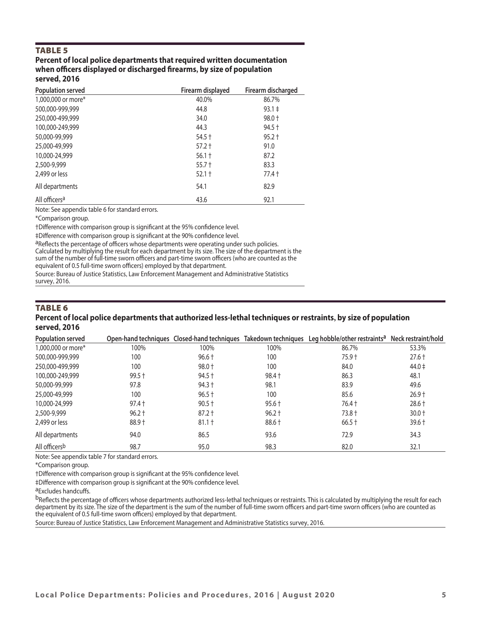#### TABLE 5

#### **Percent of local police departments that required written documentation when officers displayed or discharged firearms, by size of population served, 2016**

| <b>Population served</b>  | Firearm displayed | Firearm discharged |
|---------------------------|-------------------|--------------------|
| 1,000,000 or more*        | 40.0%             | 86.7%              |
| 500,000-999,999           | 44.8              | $93.1 \pm$         |
| 250,000-499,999           | 34.0              | $98.0 +$           |
| 100,000-249,999           | 44.3              | $94.5 +$           |
| 50,000-99,999             | $54.5 +$          | $95.2 +$           |
| 25,000-49,999             | $57.2 +$          | 91.0               |
| 10,000-24,999             | $56.1 +$          | 87.2               |
| 2,500-9,999               | $55.7 +$          | 83.3               |
| 2.499 or less             | $52.1 +$          | $77.4+$            |
| All departments           | 54.1              | 82.9               |
| All officers <sup>a</sup> | 43.6              | 92.1               |

Note: See appendix table 6 for standard errors.

\*Comparison group.

†Difference with comparison group is significant at the 95% confidence level.

‡Difference with comparison group is significant at the 90% confidence level.

aReflects the percentage of officers whose departments were operating under such policies. Calculated by multiplying the result for each department by its size. The size of the department is the sum of the number of full-time sworn officers and part-time sworn officers (who are counted as the equivalent of 0.5 full-time sworn officers) employed by that department.

Source: Bureau of Justice Statistics, Law Enforcement Management and Administrative Statistics survey, 2016.

#### TABLE 6 **Percent of local police departments that authorized less-lethal techniques or restraints, by size of population served, 2016**

| Population served  |          |          |          | Open-hand techniques Closed-hand techniques Takedown techniques Leg hobble/other restraints <sup>a</sup> Neck restraint/hold |            |
|--------------------|----------|----------|----------|------------------------------------------------------------------------------------------------------------------------------|------------|
| 1,000,000 or more* | 100%     | 100%     | 100%     | 86.7%                                                                                                                        | 53.3%      |
| 500,000-999,999    | 100      | $96.6 +$ | 100      | 75.9 t                                                                                                                       | $27.6 +$   |
| 250,000-499,999    | 100      | $98.0 +$ | 100      | 84.0                                                                                                                         | $44.0 \pm$ |
| 100,000-249,999    | $99.5 +$ | $94.5 +$ | $98.4 +$ | 86.3                                                                                                                         | 48.1       |
| 50,000-99,999      | 97.8     | $94.3 +$ | 98.1     | 83.9                                                                                                                         | 49.6       |
| 25,000-49,999      | 100      | $96.5 +$ | 100      | 85.6                                                                                                                         | $26.9 +$   |
| 10,000-24,999      | $97.4 +$ | $90.5 +$ | $95.6 +$ | 76.4 +                                                                                                                       | $28.6 +$   |
| 2,500-9,999        | $96.2 +$ | $87.2 +$ | $96.2 +$ | $73.8 +$                                                                                                                     | $30.0 +$   |
| 2,499 or less      | 88.9 +   | $81.1 +$ | 88.6 +   | $66.5 +$                                                                                                                     | $39.6 +$   |
| All departments    | 94.0     | 86.5     | 93.6     | 72.9                                                                                                                         | 34.3       |
| All officersb      | 98.7     | 95.0     | 98.3     | 82.0                                                                                                                         | 32.1       |

Note: See appendix table 7 for standard errors.

\*Comparison group.

†Difference with comparison group is significant at the 95% confidence level.

‡Difference with comparison group is significant at the 90% confidence level.

aExcludes handcuffs.

bReflects the percentage of officers whose departments authorized less-lethal techniques or restraints. This is calculated by multiplying the result for each department by its size. The size of the department is the sum of the number of full-time sworn officers and part-time sworn officers (who are counted as the equivalent of 0.5 full-time sworn officers) employed by that department.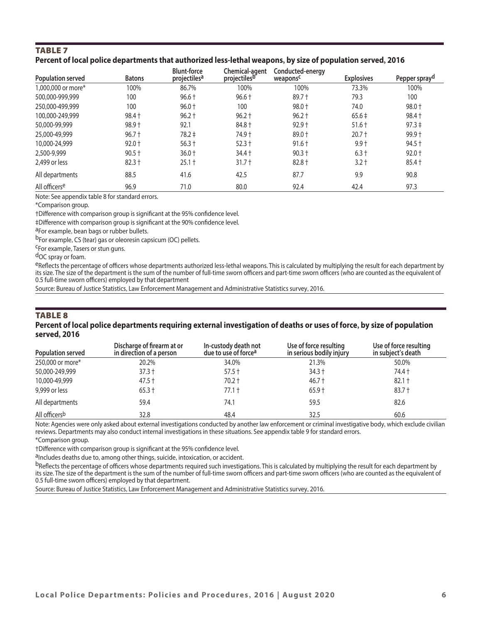# TABLE 7 **Percent of local police departments that authorized less-lethal weapons, by size of population served, 2016**

| Population served         | <b>Batons</b> | <b>Blunt-force</b><br>projectiles <sup>a</sup> | Chemical-agent<br>projectiles <sup>b</sup> | Conducted-energy<br>weaponsc | <b>Explosives</b> | Pepper spray <sup>d</sup> |
|---------------------------|---------------|------------------------------------------------|--------------------------------------------|------------------------------|-------------------|---------------------------|
| 1,000,000 or more*        | 100%          | 86.7%                                          | 100%                                       | 100%                         | 73.3%             | 100%                      |
| 500,000-999,999           | 100           | $96.6 +$                                       | $96.6 +$                                   | $89.7 +$                     | 79.3              | 100                       |
| 250,000-499,999           | 100           | $96.0 +$                                       | 100                                        | $98.0 +$                     | 74.0              | 98.0 +                    |
| 100,000-249,999           | $98.4 +$      | $96.2 +$                                       | $96.2 +$                                   | $96.2 +$                     | $65.6 \pm$        | $98.4 +$                  |
| 50,000-99,999             | $98.9 +$      | 92.1                                           | 84.8 +                                     | $92.9 +$                     | $51.6 +$          | $97.3 \pm$                |
| 25,000-49,999             | $96.7 +$      | $78.2 \pm$                                     | 74.9 +                                     | $89.0 +$                     | $20.7 +$          | $99.9 +$                  |
| 10,000-24,999             | $92.0 +$      | $56.3 +$                                       | $52.3 +$                                   | $91.6 +$                     | $9.9 +$           | $94.5 +$                  |
| 2,500-9,999               | $90.5 +$      | $36.0 +$                                       | $34.4 +$                                   | $90.3 +$                     | $6.3 +$           | $92.0 +$                  |
| 2,499 or less             | $82.3 +$      | $25.1 +$                                       | $31.7 +$                                   | $82.8 +$                     | $3.2 +$           | $85.4 +$                  |
| All departments           | 88.5          | 41.6                                           | 42.5                                       | 87.7                         | 9.9               | 90.8                      |
| All officers <sup>e</sup> | 96.9          | 71.0                                           | 80.0                                       | 92.4                         | 42.4              | 97.3                      |

Note: See appendix table 8 for standard errors.

\*Comparison group.

†Difference with comparison group is significant at the 95% confidence level.

‡Difference with comparison group is significant at the 90% confidence level.

aFor example, bean bags or rubber bullets.

<sup>b</sup>For example, CS (tear) gas or oleoresin capsicum (OC) pellets.<br><sup>C</sup>For example, Tasers or stun guns.

d<sub>OC</sub> spray or foam.

eReflects the percentage of officers whose departments authorized less-lethal weapons. This is calculated by multiplying the result for each department by its size. The size of the department is the sum of the number of full-time sworn officers and part-time sworn officers (who are counted as the equivalent of 0.5 full-time sworn officers) employed by that department

Source: Bureau of Justice Statistics, Law Enforcement Management and Administrative Statistics survey, 2016.

# TABLE 8 **Percent of local police departments requiring external investigation of deaths or uses of force, by size of population served, 2016**

| Population served | Discharge of firearm at or<br>in direction of a person | In-custody death not<br>due to use of force <sup>a</sup> | Use of force resulting<br>in serious bodily injury | Use of force resulting<br>in subject's death |
|-------------------|--------------------------------------------------------|----------------------------------------------------------|----------------------------------------------------|----------------------------------------------|
| 250,000 or more*  | 20.2%                                                  | 34.0%                                                    | 21.3%                                              | 50.0%                                        |
| 50,000-249,999    | $37.3 +$                                               | $57.5 +$                                                 | $34.3 +$                                           | 74.4 t                                       |
| 10,000-49,999     | $47.5 +$                                               | $70.2 +$                                                 | $46.7 +$                                           | $82.1 +$                                     |
| 9,999 or less     | $65.3 +$                                               | $77.1 +$                                                 | $65.9 +$                                           | $83.7 +$                                     |
| All departments   | 59.4                                                   | 74.1                                                     | 59.5                                               | 82.6                                         |
| All officersb     | 32.8                                                   | 48.4                                                     | 32.5                                               | 60.6                                         |

Note: Agencies were only asked about external investigations conducted by another law enforcement or criminal investigative body, which exclude civilian reviews. Departments may also conduct internal investigations in these situations. See appendix table 9 for standard errors.

\*Comparison group.

†Difference with comparison group is significant at the 95% confidence level.

alncludes deaths due to, among other things, suicide, intoxication, or accident.

bReflects the percentage of officers whose departments required such investigations. This is calculated by multiplying the result for each department by its size. The size of the department is the sum of the number of full-time sworn officers and part-time sworn officers (who are counted as the equivalent of 0.5 full-time sworn officers) employed by that department.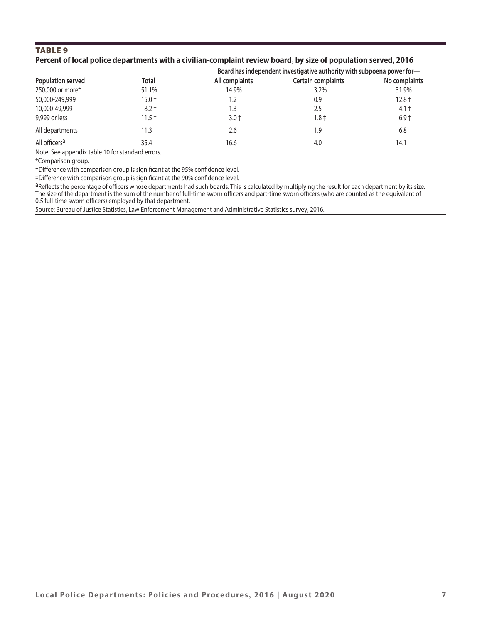### TABLE 9 Percent of local police departments with a civilian-complaint review board, by size of population served, 2016

|                           |              | Board has independent investigative authority with subpoena power for- |                    |               |  |  |
|---------------------------|--------------|------------------------------------------------------------------------|--------------------|---------------|--|--|
| Population served         | <b>Total</b> | All complaints                                                         | Certain complaints | No complaints |  |  |
| 250,000 or more*          | 51.1%        | 14.9%                                                                  | 3.2%               | 31.9%         |  |  |
| 50,000-249,999            | $15.0 +$     | 1.2                                                                    | 0.9                | $12.8 +$      |  |  |
| 10,000-49,999             | $8.2 +$      | 3.،                                                                    | 2.5                | 4.1 t         |  |  |
| 9,999 or less             | $11.5 +$     | $3.0 +$                                                                | 1.8‡               | $6.9 +$       |  |  |
| All departments           | 11.3         | 2.6                                                                    | 1.9                | 6.8           |  |  |
| All officers <sup>a</sup> | 35.4         | 16.6                                                                   | 4.0                | 14.1          |  |  |

Note: See appendix table 10 for standard errors.

\*Comparison group.

†Difference with comparison group is significant at the 95% confidence level.

‡Difference with comparison group is significant at the 90% confidence level.

aReflects the percentage of officers whose departments had such boards. This is calculated by multiplying the result for each department by its size. The size of the department is the sum of the number of full-time sworn officers and part-time sworn officers (who are counted as the equivalent of 0.5 full-time sworn officers) employed by that department.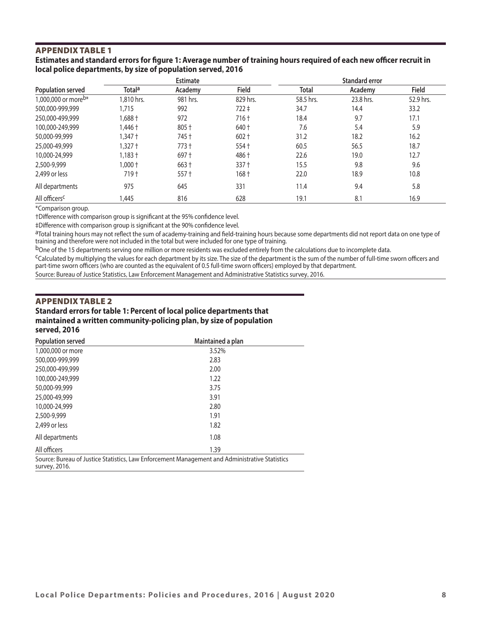# APPENDIX TABLE 1

#### **Estimates and standard errors for figure 1: Average number of training hours required of each new officer recruit in local police departments, by size of population served, 2016**

|                                 | <b>Estimate</b>    |          |           | <b>Standard error</b> |           |           |  |
|---------------------------------|--------------------|----------|-----------|-----------------------|-----------|-----------|--|
| <b>Population served</b>        | Total <sup>a</sup> | Academy  | Field     | <b>Total</b>          | Academy   | Field     |  |
| 1,000,000 or more <sup>b*</sup> | 1,810 hrs.         | 981 hrs. | 829 hrs.  | 58.5 hrs.             | 23.8 hrs. | 52.9 hrs. |  |
| 500,000-999,999                 | 1.715              | 992      | $722 \pm$ | 34.7                  | 14.4      | 33.2      |  |
| 250,000-499,999                 | $1.688 +$          | 972      | $716 +$   | 18.4                  | 9.7       | 17.1      |  |
| 100,000-249,999                 | 1,446†             | 805 +    | 640 +     | 7.6                   | 5.4       | 5.9       |  |
| 50,000-99,999                   | 1,347†             | 745 +    | $602 +$   | 31.2                  | 18.2      | 16.2      |  |
| 25,000-49,999                   | 1,327†             | $773 +$  | $554 +$   | 60.5                  | 56.5      | 18.7      |  |
| 10,000-24,999                   | 1,183†             | $697 +$  | 486+      | 22.6                  | 19.0      | 12.7      |  |
| 2,500-9,999                     | $1,000+$           | $663 +$  | $337 +$   | 15.5                  | 9.8       | 9.6       |  |
| 2,499 or less                   | $719+$             | $557 +$  | $168 +$   | 22.0                  | 18.9      | 10.8      |  |
| All departments                 | 975                | 645      | 331       | 11.4                  | 9.4       | 5.8       |  |
| All officers <sup>c</sup>       | 1.445              | 816      | 628       | 19.1                  | 8.1       | 16.9      |  |

\*Comparison group.

†Difference with comparison group is significant at the 95% confidence level.

‡Difference with comparison group is significant at the 90% confidence level.

aTotal training hours may not reflect the sum of academy-training and field-training hours because some departments did not report data on one type of training and therefore were not included in the total but were included for one type of training.

<sup>b</sup>One of the 15 departments serving one million or more residents was excluded entirely from the calculations due to incomplete data.

cCalculated by multiplying the values for each department by its size. The size of the department is the sum of the number of full-time sworn officers and part-time sworn officers (who are counted as the equivalent of 0.5 full-time sworn officers) employed by that department.

Source: Bureau of Justice Statistics, Law Enforcement Management and Administrative Statistics survey, 2016.

#### APPENDIX TABLE 2

#### **Standard errors for table 1: Percent of local police departments that maintained a written community-policing plan, by size of population served, 2016**

| <b>Population served</b> | Maintained a plan                                                                              |  |
|--------------------------|------------------------------------------------------------------------------------------------|--|
| 1,000,000 or more        | 3.52%                                                                                          |  |
| 500,000-999,999          | 2.83                                                                                           |  |
| 250,000-499,999          | 2.00                                                                                           |  |
| 100,000-249,999          | 1.22                                                                                           |  |
| 50,000-99,999            | 3.75                                                                                           |  |
| 25,000-49,999            | 3.91                                                                                           |  |
| 10,000-24,999            | 2.80                                                                                           |  |
| 2,500-9,999              | 1.91                                                                                           |  |
| 2,499 or less            | 1.82                                                                                           |  |
| All departments          | 1.08                                                                                           |  |
| All officers             | 1.39                                                                                           |  |
| survey, 2016.            | Source: Bureau of Justice Statistics, Law Enforcement Management and Administrative Statistics |  |

**Local Police Departments: Policies and Procedures, 2016 | August 2020 8**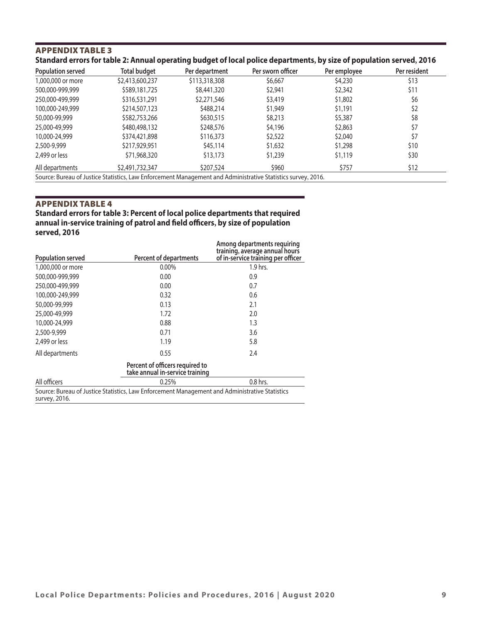# APPENDIX TABLE 3 **Standard errors for table 2: Annual operating budget of local police departments, by size of population served, 2016**

|                 |               | Per sworn officer | Per employee                                                                                                 | Per resident |
|-----------------|---------------|-------------------|--------------------------------------------------------------------------------------------------------------|--------------|
| \$2,413,600,237 | \$113,318,308 | \$6,667           | \$4,230                                                                                                      | \$13         |
| \$589,181,725   | \$8,441,320   | \$2,941           | \$2,342                                                                                                      | \$11         |
| \$316,531,291   | \$2,271,546   | \$3,419           | \$1,802                                                                                                      | \$6          |
| \$214,507,123   | \$488,214     | \$1,949           | \$1,191                                                                                                      | \$2          |
| \$582,753,266   | \$630,515     | \$8,213           | \$5,387                                                                                                      | \$8          |
| \$480,498,132   | \$248,576     | \$4,196           | \$2,863                                                                                                      | \$7          |
| \$374,421,898   | \$116,373     | \$2,522           | \$2,040                                                                                                      | \$7          |
| \$217,929,951   | \$45,114      | \$1,632           | \$1,298                                                                                                      | \$10         |
| \$71,968,320    | \$13,173      | \$1,239           | \$1,119                                                                                                      | \$30         |
| \$2,491,732,347 | \$207,524     | \$960             | \$757                                                                                                        | \$12         |
|                 |               |                   | Source: Bureau of Justice Statistics, Law Enforcement Management and Administrative Statistics survey, 2016. |              |

#### APPENDIX TABLE 4

**Standard errors for table 3: Percent of local police departments that required annual in-service training of patrol and field officers, by size of population served, 2016 Among departments requiring** 

| <b>Population served</b> | <b>Percent of departments</b>                                                                  | Among departments requiring<br>training, average annual hours<br>of in-service training per officer |
|--------------------------|------------------------------------------------------------------------------------------------|-----------------------------------------------------------------------------------------------------|
| 1,000,000 or more        | $0.00\%$                                                                                       | 1.9 hrs.                                                                                            |
| 500,000-999,999          | 0.00                                                                                           | 0.9                                                                                                 |
| 250,000-499,999          | 0.00                                                                                           | 0.7                                                                                                 |
| 100,000-249,999          | 0.32                                                                                           | 0.6                                                                                                 |
| 50,000-99,999            | 0.13                                                                                           | 2.1                                                                                                 |
| 25,000-49,999            | 1.72                                                                                           | 2.0                                                                                                 |
| 10,000-24,999            | 0.88                                                                                           | 1.3                                                                                                 |
| 2,500-9,999              | 0.71                                                                                           | 3.6                                                                                                 |
| 2,499 or less            | 1.19                                                                                           | 5.8                                                                                                 |
| All departments          | 0.55                                                                                           | 2.4                                                                                                 |
|                          | Percent of officers required to<br>take annual in-service training                             |                                                                                                     |
| All officers             | 0.25%                                                                                          | 0.8 hrs.                                                                                            |
| survey, 2016.            | Source: Bureau of Justice Statistics, Law Enforcement Management and Administrative Statistics |                                                                                                     |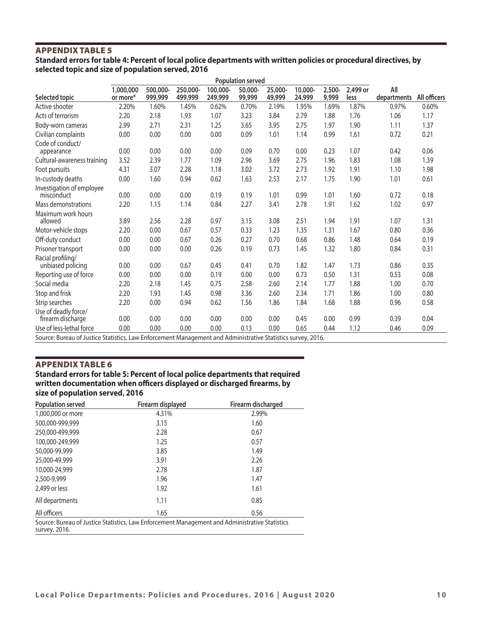# APPENDIX TABLE 5

#### **Standard errors for table 4: Percent of local police departments with written policies or procedural directives, by selected topic and size of population served, 2016**

|                                                                                                              | <b>Population served</b> |                     |                     |                     |                   |                   |                   |                    |                  |                    |              |
|--------------------------------------------------------------------------------------------------------------|--------------------------|---------------------|---------------------|---------------------|-------------------|-------------------|-------------------|--------------------|------------------|--------------------|--------------|
| Selected topic                                                                                               | 1,000,000<br>or more*    | 500,000-<br>999,999 | 250,000-<br>499,999 | 100,000-<br>249,999 | 50,000-<br>99,999 | 25,000-<br>49,999 | 10,000-<br>24,999 | $2,500 -$<br>9,999 | 2,499 or<br>less | All<br>departments | All officers |
| Active shooter                                                                                               | 2.20%                    | 1.60%               | 1.45%               | 0.62%               | 0.70%             | 2.19%             | 1.95%             | 1.69%              | 1.87%            | 0.97%              | 0.60%        |
| Acts of terrorism                                                                                            | 2.20                     | 2.18                | 1.93                | 1.07                | 3.23              | 3.84              | 2.79              | 1.88               | 1.76             | 1.06               | 1.17         |
| Body-worn cameras                                                                                            | 2.99                     | 2.71                | 2.31                | 1.25                | 3.65              | 3.95              | 2.75              | 1.97               | 1.90             | 1.11               | 1.37         |
| Civilian complaints                                                                                          | 0.00                     | 0.00                | 0.00                | 0.00                | 0.09              | 1.01              | 1.14              | 0.99               | 1.61             | 0.72               | 0.21         |
| Code of conduct/<br>appearance                                                                               | 0.00                     | 0.00                | 0.00                | 0.00                | 0.09              | 0.70              | 0.00              | 0.23               | 1.07             | 0.42               | 0.06         |
| Cultural-awareness training                                                                                  | 3.52                     | 2.39                | 1.77                | 1.09                | 2.96              | 3.69              | 2.75              | 1.96               | 1.83             | 1.08               | 1.39         |
| Foot pursuits                                                                                                | 4.31                     | 3.07                | 2.28                | 1.18                | 3.02              | 3.72              | 2.73              | 1.92               | 1.91             | 1.10               | 1.98         |
| In-custody deaths                                                                                            | 0.00                     | 1.60                | 0.94                | 0.62                | 1.63              | 2.53              | 2.17              | 1.75               | 1.90             | 1.01               | 0.61         |
| Investigation of employee<br>misconduct                                                                      | 0.00                     | 0.00                | 0.00                | 0.19                | 0.19              | 1.01              | 0.99              | 1.01               | 1.60             | 0.72               | 0.18         |
| Mass demonstrations                                                                                          | 2.20                     | 1.15                | 1.14                | 0.84                | 2.27              | 3.41              | 2.78              | 1.91               | 1.62             | 1.02               | 0.97         |
| Maximum work hours<br>allowed                                                                                | 3.89                     | 2.56                | 2.28                | 0.97                | 3.15              | 3.08              | 2.51              | 1.94               | 1.91             | 1.07               | 1.31         |
| Motor-vehicle stops                                                                                          | 2.20                     | 0.00                | 0.67                | 0.57                | 0.33              | 1.23              | 1.35              | 1.31               | 1.67             | 0.80               | 0.36         |
| Off-duty conduct                                                                                             | 0.00                     | 0.00                | 0.67                | 0.26                | 0.27              | 0.70              | 0.68              | 0.86               | 1.48             | 0.64               | 0.19         |
| Prisoner transport                                                                                           | 0.00                     | 0.00                | 0.00                | 0.26                | 0.19              | 0.73              | 1.45              | 1.32               | 1.80             | 0.84               | 0.31         |
| Racial profiling/<br>unbiased policing                                                                       | 0.00                     | 0.00                | 0.67                | 0.45                | 0.41              | 0.70              | 1.82              | 1.47               | 1.73             | 0.86               | 0.35         |
| Reporting use of force                                                                                       | 0.00                     | 0.00                | 0.00                | 0.19                | 0.00              | 0.00              | 0.73              | 0.50               | 1.31             | 0.53               | 0.08         |
| Social media                                                                                                 | 2.20                     | 2.18                | 1.45                | 0.75                | 2.58              | 2.60              | 2.14              | 1.77               | 1.88             | 1.00               | 0.70         |
| Stop and frisk                                                                                               | 2.20                     | 1.93                | 1.45                | 0.98                | 3.36              | 2.60              | 2.34              | 1.71               | 1.86             | 1.00               | 0.80         |
| Strip searches                                                                                               | 2.20                     | 0.00                | 0.94                | 0.62                | 1.56              | 1.86              | 1.84              | 1.68               | 1.88             | 0.96               | 0.58         |
| Use of deadly force/<br>firearm discharge                                                                    | 0.00                     | 0.00                | 0.00                | 0.00                | 0.00              | 0.00              | 0.45              | 0.00               | 0.99             | 0.39               | 0.04         |
| Use of less-lethal force                                                                                     | 0.00                     | 0.00                | 0.00                | 0.00                | 0.13              | 0.00              | 0.65              | 0.44               | 1.12             | 0.46               | 0.09         |
| Source: Bureau of Justice Statistics, Law Enforcement Management and Administrative Statistics survey, 2016. |                          |                     |                     |                     |                   |                   |                   |                    |                  |                    |              |

# APPENDIX TABLE 6

# **Standard errors for table 5: Percent of local police departments that required written documentation when officers displayed or discharged firearms, by size of population served, 2016**

| <b>Population served</b>                                                                                        | Firearm displayed | Firearm discharged |  |  |  |
|-----------------------------------------------------------------------------------------------------------------|-------------------|--------------------|--|--|--|
| 1,000,000 or more                                                                                               | 4.31%             | 2.99%              |  |  |  |
| 500,000-999,999                                                                                                 | 3.15              | 1.60               |  |  |  |
| 250,000-499,999                                                                                                 | 2.28              | 0.67               |  |  |  |
| 100,000-249,999                                                                                                 | 1.25              | 0.57               |  |  |  |
| 50,000-99,999                                                                                                   | 3.85              | 1.49               |  |  |  |
| 25,000-49,999                                                                                                   | 3.91              | 2.26               |  |  |  |
| 10,000-24,999                                                                                                   | 2.78              | 1.87               |  |  |  |
| 2,500-9,999                                                                                                     | 1.96              | 1.47               |  |  |  |
| 2.499 or less                                                                                                   | 1.92              | 1.61               |  |  |  |
| All departments                                                                                                 | 1.11              | 0.85               |  |  |  |
| All officers                                                                                                    | 1.65              | 0.56               |  |  |  |
| Source: Bureau of Justice Statistics, Law Enforcement Management and Administrative Statistics<br>survey, 2016. |                   |                    |  |  |  |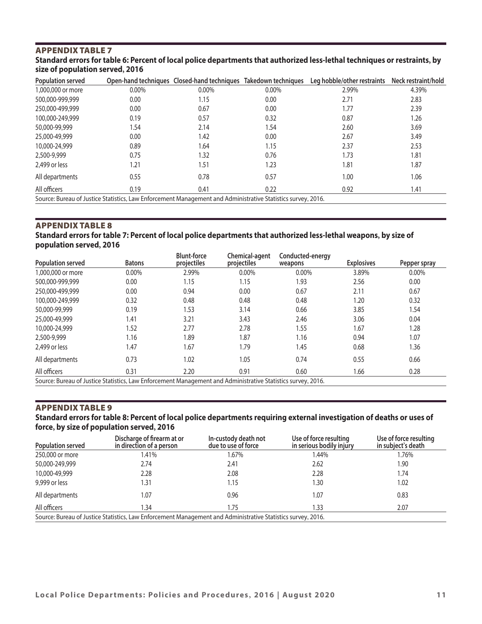# APPENDIX TABLE 7 **Standard errors for table 6: Percent of local police departments that authorized less-lethal techniques or restraints, by**  size of population served, 2016

| Population served                                                                                            |          | Open-hand techniques Closed-hand techniques Takedown techniques |       | Leg hobble/other restraints | Neck restraint/hold |  |
|--------------------------------------------------------------------------------------------------------------|----------|-----------------------------------------------------------------|-------|-----------------------------|---------------------|--|
| 1,000,000 or more                                                                                            | $0.00\%$ | 0.00%                                                           | 0.00% | 2.99%                       | 4.39%               |  |
| 500,000-999,999                                                                                              | 0.00     | 1.15                                                            | 0.00  | 2.71                        | 2.83                |  |
| 250,000-499,999                                                                                              | 0.00     | 0.67                                                            | 0.00  | 1.77                        | 2.39                |  |
| 100,000-249,999                                                                                              | 0.19     | 0.57                                                            | 0.32  | 0.87                        | 1.26                |  |
| 50,000-99,999                                                                                                | .54      | 2.14                                                            | 1.54  | 2.60                        | 3.69                |  |
| 25,000-49,999                                                                                                | 0.00     | 1.42                                                            | 0.00  | 2.67                        | 3.49                |  |
| 10,000-24,999                                                                                                | 0.89     | 1.64                                                            | 1.15  | 2.37                        | 2.53                |  |
| 2,500-9,999                                                                                                  | 0.75     | 1.32                                                            | 0.76  | 1.73                        | 1.81                |  |
| 2,499 or less                                                                                                | 1.21     | 1.51                                                            | 1.23  | 1.81                        | 1.87                |  |
| All departments                                                                                              | 0.55     | 0.78                                                            | 0.57  | 1.00                        | 1.06                |  |
| All officers                                                                                                 | 0.19     | 0.41                                                            | 0.22  | 0.92                        | 1.41                |  |
| Source: Bureau of Justice Statistics, Law Enforcement Management and Administrative Statistics survey, 2016. |          |                                                                 |       |                             |                     |  |

# APPENDIX TABLE 8

#### **Standard errors for table 7: Percent of local police departments that authorized less-lethal weapons, by size of population served, 2016**

| <b>Population served</b>                                                                                     | <b>Batons</b> | <b>Blunt-force</b><br>projectiles | Chemical-agent<br>projectiles | Conducted-energy<br>weapons | <b>Explosives</b> | Pepper spray |
|--------------------------------------------------------------------------------------------------------------|---------------|-----------------------------------|-------------------------------|-----------------------------|-------------------|--------------|
| 1,000,000 or more                                                                                            | 0.00%         | 2.99%                             | 0.00%                         | 0.00%                       | 3.89%             | 0.00%        |
| 500,000-999,999                                                                                              | 0.00          | 1.15                              | 1.15                          | 1.93                        | 2.56              | 0.00         |
| 250,000-499,999                                                                                              | 0.00          | 0.94                              | 0.00                          | 0.67                        | 2.11              | 0.67         |
| 100,000-249,999                                                                                              | 0.32          | 0.48                              | 0.48                          | 0.48                        | 1.20              | 0.32         |
| 50,000-99,999                                                                                                | 0.19          | 1.53                              | 3.14                          | 0.66                        | 3.85              | 1.54         |
| 25,000-49,999                                                                                                | 1.41          | 3.21                              | 3.43                          | 2.46                        | 3.06              | 0.04         |
| 10,000-24,999                                                                                                | 1.52          | 2.77                              | 2.78                          | 1.55                        | 1.67              | 1.28         |
| 2,500-9,999                                                                                                  | 1.16          | 1.89                              | 1.87                          | 1.16                        | 0.94              | 1.07         |
| 2,499 or less                                                                                                | 1.47          | 1.67                              | 1.79                          | 1.45                        | 0.68              | 1.36         |
| All departments                                                                                              | 0.73          | 1.02                              | 1.05                          | 0.74                        | 0.55              | 0.66         |
| All officers                                                                                                 | 0.31          | 2.20                              | 0.91                          | 0.60                        | 1.66              | 0.28         |
| Source: Bureau of Justice Statistics, Law Enforcement Management and Administrative Statistics survey, 2016. |               |                                   |                               |                             |                   |              |

#### APPENDIX TABLE 9

#### **Standard errors for table 8: Percent of local police departments requiring external investigation of deaths or uses of force, by size of population served, 2016**

| <b>Population served</b> | Discharge of firearm at or<br>in direction of a person                                                       | In-custody death not<br>due to use of force | Use of force resulting<br>in serious bodily injury | Use of force resulting<br>in subject's death |
|--------------------------|--------------------------------------------------------------------------------------------------------------|---------------------------------------------|----------------------------------------------------|----------------------------------------------|
| 250,000 or more          | l.41%                                                                                                        | 1.67%                                       | 1.44%                                              | 1.76%                                        |
| 50,000-249,999           | 2.74                                                                                                         | 2.41                                        | 2.62                                               | 1.90                                         |
| 10,000-49,999            | 2.28                                                                                                         | 2.08                                        | 2.28                                               | 1.74                                         |
| 9,999 or less            | l.31                                                                                                         | 1.15                                        | 1.30                                               | 1.02                                         |
| All departments          | 1.07                                                                                                         | 0.96                                        | 1.07                                               | 0.83                                         |
| All officers             | .34                                                                                                          | 1.75                                        | 1.33                                               | 2.07                                         |
|                          | Source: Bureau of Justice Statistics, Law Enforcement Management and Administrative Statistics survey, 2016. |                                             |                                                    |                                              |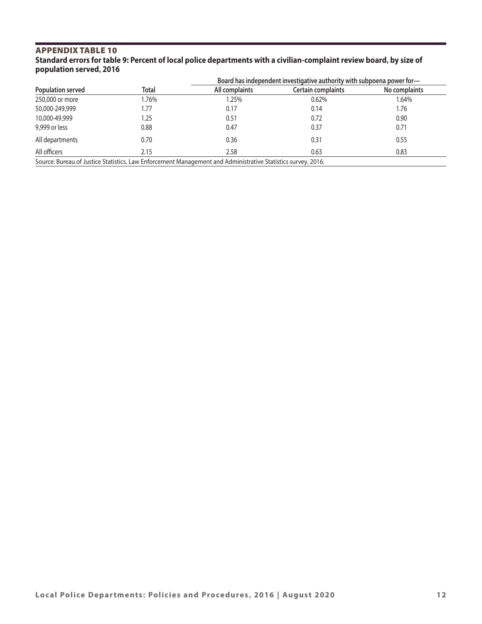# APPENDIX TABLE 10 **Standard errors for table 9: Percent of local police departments with a civilian-complaint review board, by size of population served, 2016**

|                          |              | Board has independent investigative authority with subpoena power for-                                       |                    |               |  |  |
|--------------------------|--------------|--------------------------------------------------------------------------------------------------------------|--------------------|---------------|--|--|
| <b>Population served</b> | <b>Total</b> | All complaints                                                                                               | Certain complaints | No complaints |  |  |
| 250,000 or more          | 1.76%        | 1.25%                                                                                                        | 0.62%              | 1.64%         |  |  |
| 50,000-249,999           | 1.77         | 0.17                                                                                                         | 0.14               | 1.76          |  |  |
| 10,000-49,999            | 1.25         | 0.51                                                                                                         | 0.72               | 0.90          |  |  |
| 9,999 or less            | 0.88         | 0.47                                                                                                         | 0.37               | 0.71          |  |  |
| All departments          | 0.70         | 0.36                                                                                                         | 0.31               | 0.55          |  |  |
| All officers             | 2.15         | 2.58                                                                                                         | 0.63               | 0.83          |  |  |
|                          |              | Source: Bureau of Justice Statistics, Law Enforcement Management and Administrative Statistics survey, 2016. |                    |               |  |  |